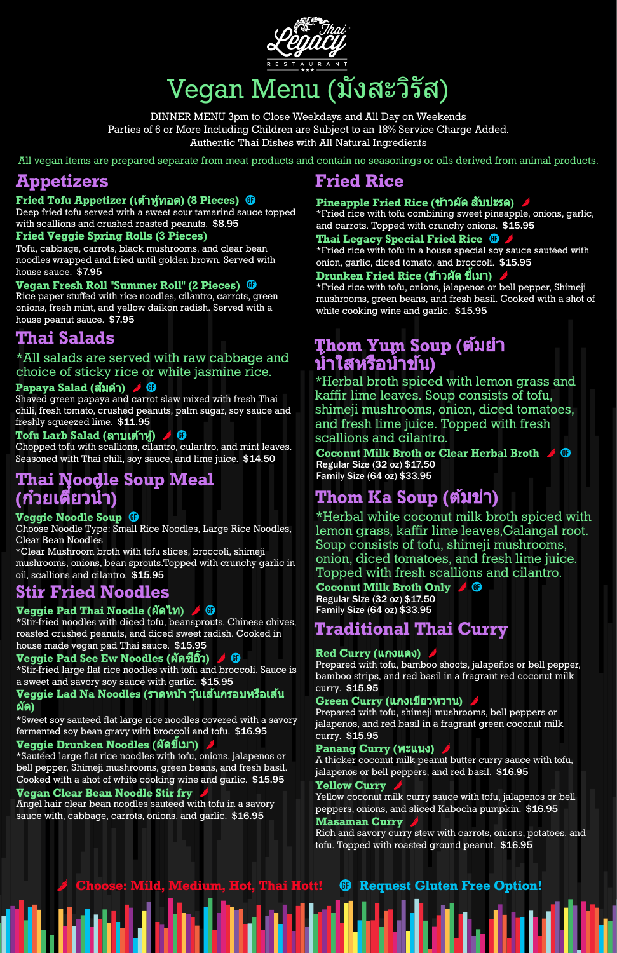

# Vegan Menu (มังสะวิรัส)

All vegan items are prepared separate from meat products and contain no seasonings or oils derived from animal products.

Deep fried tofu served with a sweet sour tamarind sauce topped with scallions and crushed roasted peanuts. \$8.95

DINNER MENU 3pm to Close Weekdays and All Day on Weekends Parties of 6 or More Including Children are Subject to an 18% Service Charge Added. Authentic Thai Dishes with All Natural Ingredients

# **Appetizers**

# **Fried Tofu Appetizer (**เต้าต้หู้ทอด หู้ **) (8 Pieces)**

## **Fried Veggie Spring Rolls (3 Pieces)**

Tofu, cabbage, carrots, black mushrooms, and clear bean noodles wrapped and fried until golden brown. Served with house sauce. \$7.95

## **Vegan Fresh Roll "Summer Roll" (2 Pieces)**

Rice paper stuffed with rice noodles, cilantro, carrots, green onions, fresh mint, and yellow daikon radish. Served with a house peanut sauce. \$7.95

# **Thai Salads**

# \*All salads are served with raw cabbage and choice of sticky rice or white jasmine rice.

## **Papaya Salad (**ส้มส้ตำ **)**

Shaved green papaya and carrot slaw mixed with fresh Thai chili, fresh tomato, crushed peanuts, palm sugar, soy sauce and freshly squeezed lime. \$11.95

# **T**ofu Larb Salad (ลาบเต้าหู้) *ห*ู้ **O**

Chopped tofu with scallions, cilantro, culantro, and mint leaves. Seasoned with Thai chili, soy sauce, and lime juice. \$14.50

# **Thai Noodle Soup Meal (**ก๋วยเ ก๋ ตี๋ยวตี๋ นํ้า**)**

# **Veggie Noodle Soup**

Choose Noodle Type: Small Rice Noodles, Large Rice Noodles, Clear Bean Noodles

\*Clear Mushroom broth with tofu slices, broccoli, shimeji mushrooms, onions, bean sprouts.Topped with crunchy garlic in oil, scallions and cilantro. \$15.95

# **Stir Fried Noodles**

# **Veggie Pad Thai Noodle (**ผัดไท**)**

\*Stir-fried noodles with diced tofu, beansprouts, Chinese chives, roasted crushed peanuts, and diced sweet radish. Cooked in house made vegan pad Thai sauce. \$15.95

# **Veggie Pad See Ew Noodles (**ผัดซีอิ๊ซีอิ๊วอิ๊**)**

\*Stir-fried large flat rice noodles with tofu and broccoli. Sauce is a sweet and savory soy sauce with garlic. \$15.95

#### **Veggie Lad Na Noodles (**ราดหน้าน้ วุ้นเ วุ้ ส้นกรอบห ส้ รือเ รื ส้นส้

ผัด**)**

\*Sweet soy sauteed flat large rice noodles covered with a savory fermented soy bean gravy with broccoli and tofu. \$16.95

### **Veggie Drunken Noodles (**ผัดขี้เมา ขี้ **)**

\*Sautéed large flat rice noodles with tofu, onions, jalapenos or bell pepper, Shimeji mushrooms, green beans, and fresh basil. Cooked with a shot of white cooking wine and garlic. \$15.95

#### **Vegan Clear Bean Noodle Stir fry**

Angel hair clear bean noodles sauteed with tofu in a savory sauce with, cabbage, carrots, onions, and garlic. \$16.95

. II.an Islam (Tarkin Albert Helen

#### **Green Curry (แกงเขียวหวาน)**

# **Fried Rice**

# **Pineapple Fried Rice (**ข้าวข้ ผัด สับปะรด สั **)**

\*Fried rice with tofu combining sweet pineapple, onions, garlic, and carrots. Topped with crunchy onions. \$15.95

# **Thai Legacy Special Fried Rice**

\*Fried rice with tofu in a house special soy sauce sautéed with onion, garlic, diced tomato, and broccoli. \$15.95

# **Drunken Fried Rice (**ข้าวข้ ผัด ขี้เมา ขี้ **)**

\*Fried rice with tofu, onions, jalapenos or bell pepper, Shimeji mushrooms, green beans, and fresh basil. Cooked with a shot of white cooking wine and garlic. \$15.95

# **Thom Yum Soup (ตัมยำ** ี่**นำใสหรือนำข้น)**

\*Herbal broth spiced with lemon grass and kaffir lime leaves. Soup consists of tofu, shimeji mushrooms, onion, diced tomatoes, and fresh lime juice. Topped with fresh scallions and cilantro.

**Coconut Milk Broth or Clear Herbal Broth** Regular Size (32 oz) \$17.50 Family Size (64 oz) \$33.95

# **Thom Ka Soup (**ต้มต้ข่าข่ **)**

\*Herbal white coconut milk broth spiced with lemon grass, kaffir lime leaves,Galangal root. Soup consists of tofu, shimeji mushrooms, onion, diced tomatoes, and fresh lime juice. Topped with fresh scallions and cilantro.

# **Coconut Milk Broth Only**

Regular Size (32 oz) \$17.50 Family Size (64 oz) \$33.95

# **Traditional Thai Curry**

# **Red Curry (**แกงแดง**)**

Prepared with tofu, bamboo shoots, jalapeños or bell pepper, bamboo strips, and red basil in a fragrant red coconut milk curry. \$15.95

Prepared with tofu, shimeji mushrooms, bell peppers or jalapenos, and red basil in a fragrant green coconut milk curry. \$15.95

#### **Panang Curry (**พะแนง**)**

A thicker coconut milk peanut butter curry sauce with tofu, jalapenos or bell peppers, and red basil. \$16.95

#### **Yellow Curry**

Yellow coconut milk curry sauce with tofu, jalapenos or bell peppers, onions, and sliced Kabocha pumpkin. \$16.95 **Masaman Curry**

Rich and savory curry stew with carrots, onions, potatoes. and tofu. Topped with roasted ground peanut. \$16.95

46.600 AM

**Choose: Mild, Medium, Hot, Thai Hott! Request Gluten Free Option!**